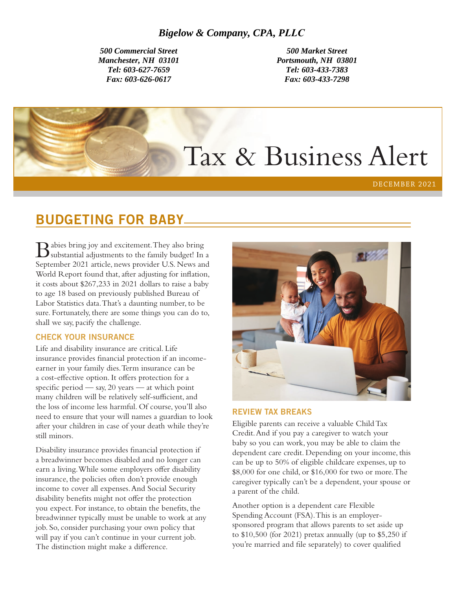*500 Commercial Street Manchester, NH 03101 Tel: 603-627-7659 Fax: 603-626-0617*

*500 Market Street Portsmouth, NH 03801 Tel: 603-433-7383 Fax: 603-433-7298* 

# Tax & Business Alert

DECEMBER 2021

# BUDGETING FOR BABY

Babies bring joy and excitement. They also bring substantial adjustments to the family budget! In a September 2021 article, news provider U.S. News and World Report found that, after adjusting for inflation, it costs about \$267,233 in 2021 dollars to raise a baby to age 18 based on previously published Bureau of Labor Statistics data. That's a daunting number, to be sure. Fortunately, there are some things you can do to, shall we say, pacify the challenge.

## CHECK YOUR INSURANCE

Life and disability insurance are critical. Life insurance provides financial protection if an incomeearner in your family dies. Term insurance can be a cost-effective option. It offers protection for a specific period — say, 20 years — at which point many children will be relatively self-sufficient, and the loss of income less harmful. Of course, you'll also need to ensure that your will names a guardian to look after your children in case of your death while they're still minors.

Disability insurance provides financial protection if a breadwinner becomes disabled and no longer can earn a living. While some employers offer disability insurance, the policies often don't provide enough income to cover all expenses. And Social Security disability benefits might not offer the protection you expect. For instance, to obtain the benefits, the breadwinner typically must be unable to work at any job. So, consider purchasing your own policy that will pay if you can't continue in your current job. The distinction might make a difference.



#### REVIEW TAX BREAKS

Eligible parents can receive a valuable Child Tax Credit. And if you pay a caregiver to watch your baby so you can work, you may be able to claim the dependent care credit. Depending on your income, this can be up to 50% of eligible childcare expenses, up to \$8,000 for one child, or \$16,000 for two or more. The caregiver typically can't be a dependent, your spouse or a parent of the child.

Another option is a dependent care Flexible Spending Account (FSA). This is an employersponsored program that allows parents to set aside up to  $$10,500$  (for 2021) pretax annually (up to  $$5,250$  if you're married and file separately) to cover qualified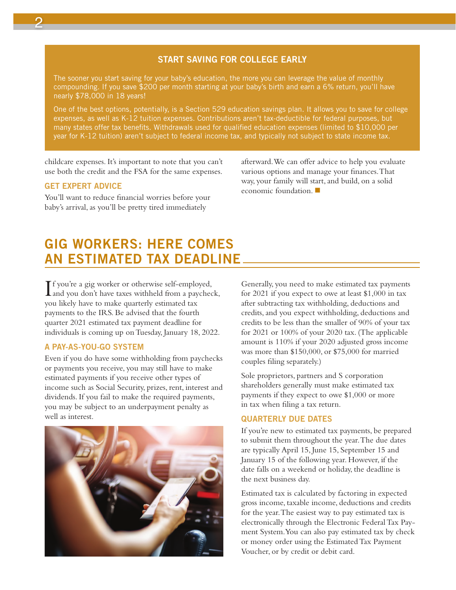## START SAVING FOR COLLEGE EARLY

The sooner you start saving for your baby's education, the more you can leverage the value of monthly compounding. If you save \$200 per month starting at your baby's birth and earn a 6% return, you'll have nearly \$78,000 in 18 years!

One of the best options, potentially, is a Section 529 education savings plan. It allows you to save for college expenses, as well as K-12 tuition expenses. Contributions aren't tax-deductible for federal purposes, but many states offer tax benefits. Withdrawals used for qualified education expenses (limited to \$10,000 per year for K-12 tuition) aren't subject to federal income tax, and typically not subject to state income tax.

childcare expenses. It's important to note that you can't use both the credit and the FSA for the same expenses.

### GET EXPERT ADVICE

You'll want to reduce financial worries before your baby's arrival, as you'll be pretty tired immediately

afterward. We can offer advice to help you evaluate various options and manage your finances. That way, your family will start, and build, on a solid economic foundation.  $\blacksquare$ 

# GIG WORKERS: HERE COMES AN ESTIMATED TAX DEADLINE

If you're a gig worker or otherwise self-employed,<br>and you don't have taxes withheld from a payched and you don't have taxes withheld from a paycheck, you likely have to make quarterly estimated tax payments to the IRS. Be advised that the fourth quarter 2021 estimated tax payment deadline for individuals is coming up on Tuesday, January 18, 2022.

## A PAY-AS-YOU-GO SYSTEM

Even if you do have some withholding from paychecks or payments you receive, you may still have to make estimated payments if you receive other types of income such as Social Security, prizes, rent, interest and dividends. If you fail to make the required payments, you may be subject to an underpayment penalty as well as interest.



Generally, you need to make estimated tax payments for 2021 if you expect to owe at least \$1,000 in tax after subtracting tax withholding, deductions and credits, and you expect withholding, deductions and credits to be less than the smaller of 90% of your tax for 2021 or 100% of your 2020 tax. (The applicable amount is 110% if your 2020 adjusted gross income was more than \$150,000, or \$75,000 for married couples filing separately.)

Sole proprietors, partners and S corporation shareholders generally must make estimated tax payments if they expect to owe \$1,000 or more in tax when filing a tax return.

## QUARTERLY DUE DATES

If you're new to estimated tax payments, be prepared to submit them throughout the year. The due dates are typically April 15, June 15, September 15 and January 15 of the following year. However, if the date falls on a weekend or holiday, the deadline is the next business day.

Estimated tax is calculated by factoring in expected gross income, taxable income, deductions and credits for the year. The easiest way to pay estimated tax is electronically through the Electronic Federal Tax Payment System. You can also pay estimated tax by check or money order using the Estimated Tax Payment Voucher, or by credit or debit card.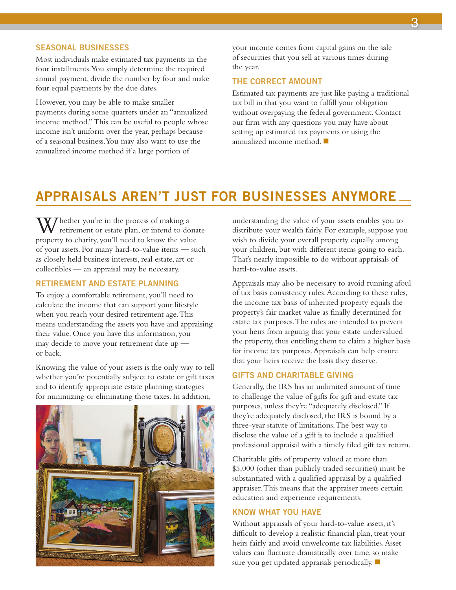#### SEASONAL BUSINESSES

Most individuals make estimated tax payments in the four installments. You simply determine the required annual payment, divide the number by four and make four equal payments by the due dates.

However, you may be able to make smaller payments during some quarters under an "annualized income method." This can be useful to people whose income isn't uniform over the year, perhaps because of a seasonal business. You may also want to use the annualized income method if a large portion of

your income comes from capital gains on the sale of securities that you sell at various times during the year.

#### THE CORRECT AMOUNT

Estimated tax payments are just like paying a traditional tax bill in that you want to fulfill your obligation without overpaying the federal government. Contact our firm with any questions you may have about setting up estimated tax payments or using the annualized income method.  $\blacksquare$ 

## APPRAISALS AREN'T JUST FOR BUSINESSES ANYMORE

 $\overline{U}$ hether you're in the process of making a retirement or estate plan, or intend to donate property to charity, you'll need to know the value of your assets. For many hard-to-value items — such as closely held business interests, real estate, art or collectibles — an appraisal may be necessary.

#### RETIREMENT AND ESTATE PLANNING

To enjoy a comfortable retirement, you'll need to calculate the income that can support your lifestyle when you reach your desired retirement age. This means understanding the assets you have and appraising their value. Once you have this information, you may decide to move your retirement date up or back.

Knowing the value of your assets is the only way to tell whether you're potentially subject to estate or gift taxes and to identify appropriate estate planning strategies for minimizing or eliminating those taxes. In addition,



understanding the value of your assets enables you to distribute your wealth fairly. For example, suppose you wish to divide your overall property equally among your children, but with different items going to each. That's nearly impossible to do without appraisals of hard-to-value assets.

Appraisals may also be necessary to avoid running afoul of tax basis consistency rules. According to these rules, the income tax basis of inherited property equals the property's fair market value as finally determined for estate tax purposes. The rules are intended to prevent your heirs from arguing that your estate undervalued the property, thus entitling them to claim a higher basis for income tax purposes. Appraisals can help ensure that your heirs receive the basis they deserve.

#### GIFTS AND CHARITABLE GIVING

Generally, the IRS has an unlimited amount of time to challenge the value of gifts for gift and estate tax purposes, unless they're "adequately disclosed." If they're adequately disclosed, the IRS is bound by a three-year statute of limitations. The best way to disclose the value of a gift is to include a qualified professional appraisal with a timely filed gift tax return.

Charitable gifts of property valued at more than \$5,000 (other than publicly traded securities) must be substantiated with a qualified appraisal by a qualified appraiser. This means that the appraiser meets certain education and experience requirements.

#### KNOW WHAT YOU HAVE

Without appraisals of your hard-to-value assets, it's difficult to develop a realistic financial plan, treat your heirs fairly and avoid unwelcome tax liabilities. Asset values can fluctuate dramatically over time, so make sure you get updated appraisals periodically.  $\blacksquare$